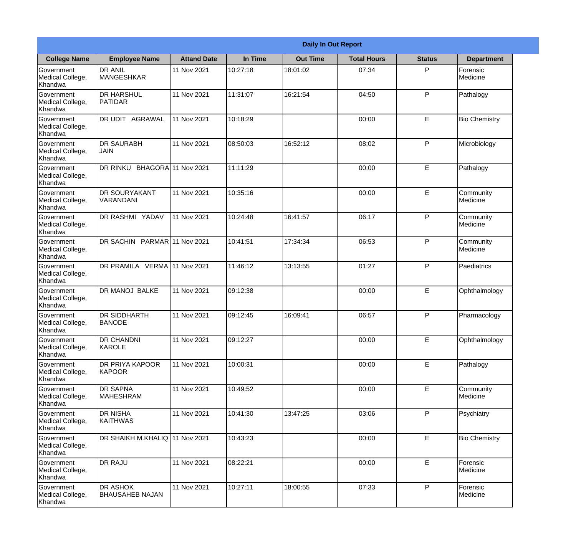|                                                  | <b>Daily In Out Report</b>                |                    |          |                 |                    |               |                              |  |  |
|--------------------------------------------------|-------------------------------------------|--------------------|----------|-----------------|--------------------|---------------|------------------------------|--|--|
| <b>College Name</b>                              | <b>Employee Name</b>                      | <b>Attand Date</b> | In Time  | <b>Out Time</b> | <b>Total Hours</b> | <b>Status</b> | <b>Department</b>            |  |  |
| Government<br>Medical College,<br>Khandwa        | <b>DR ANIL</b><br><b>MANGESHKAR</b>       | 11 Nov 2021        | 10:27:18 | 18:01:02        | 07:34              | P             | Forensic<br>Medicine         |  |  |
| Government<br>Medical College,<br>Khandwa        | <b>DR HARSHUL</b><br>PATIDAR              | 11 Nov 2021        | 11:31:07 | 16:21:54        | 04:50              | P             | Pathalogy                    |  |  |
| <b>Government</b><br>Medical College,<br>Khandwa | <b>DR UDIT AGRAWAL</b>                    | 11 Nov 2021        | 10:18:29 |                 | 00:00              | E             | <b>Bio Chemistry</b>         |  |  |
| <b>Government</b><br>Medical College,<br>Khandwa | <b>DR SAURABH</b><br><b>JAIN</b>          | 11 Nov 2021        | 08:50:03 | 16:52:12        | 08:02              | P             | Microbiology                 |  |  |
| Government<br>Medical College,<br>Khandwa        | DR RINKU BHAGORA 11 Nov 2021              |                    | 11:11:29 |                 | 00:00              | E             | Pathalogy                    |  |  |
| Government<br>Medical College,<br>Khandwa        | <b>DR SOURYAKANT</b><br>VARANDANI         | 11 Nov 2021        | 10:35:16 |                 | 00:00              | $\mathsf E$   | Community<br><b>Medicine</b> |  |  |
| <b>Government</b><br>Medical College,<br>Khandwa | <b>DR RASHMI YADAV</b>                    | 11 Nov 2021        | 10:24:48 | 16:41:57        | 06:17              | P             | Community<br>Medicine        |  |  |
| <b>Government</b><br>Medical College,<br>Khandwa | DR SACHIN PARMAR 11 Nov 2021              |                    | 10:41:51 | 17:34:34        | 06:53              | P             | Community<br>Medicine        |  |  |
| Government<br>Medical College,<br>Khandwa        | DR PRAMILA VERMA 11 Nov 2021              |                    | 11:46:12 | 13:13:55        | 01:27              | P             | Paediatrics                  |  |  |
| Government<br>Medical College,<br>Khandwa        | DR MANOJ BALKE                            | 11 Nov 2021        | 09:12:38 |                 | 00:00              | $\mathsf E$   | Ophthalmology                |  |  |
| Government<br>Medical College,<br>Khandwa        | <b>IDR SIDDHARTH</b><br><b>BANODE</b>     | 11 Nov 2021        | 09:12:45 | 16:09:41        | 06:57              | P             | Pharmacology                 |  |  |
| Government<br>Medical College,<br>Khandwa        | <b>DR CHANDNI</b><br>KAROLE               | 11 Nov 2021        | 09:12:27 |                 | 00:00              | E             | Ophthalmology                |  |  |
| Government<br>Medical College,<br>Khandwa        | <b>DR PRIYA KAPOOR</b><br>KAPOOR          | 11 Nov 2021        | 10:00:31 |                 | 00:00              | E             | Pathalogy                    |  |  |
| Government<br>Medical College,<br>Khandwa        | <b>DR SAPNA</b><br><b>MAHESHRAM</b>       | 11 Nov 2021        | 10:49:52 |                 | 00:00              | $\mathsf E$   | Community<br>Medicine        |  |  |
| Government<br>Medical College,<br>Khandwa        | <b>DR NISHA</b><br><b>KAITHWAS</b>        | 11 Nov 2021        | 10:41:30 | 13:47:25        | 03:06              | $\mathsf{P}$  | Psychiatry                   |  |  |
| Government<br>Medical College,<br>Khandwa        | DR SHAIKH M.KHALIQ 11 Nov 2021            |                    | 10:43:23 |                 | 00:00              | E             | <b>Bio Chemistry</b>         |  |  |
| Government<br>Medical College,<br>Khandwa        | <b>DR RAJU</b>                            | 11 Nov 2021        | 08:22:21 |                 | 00:00              | E             | Forensic<br>Medicine         |  |  |
| Government<br>Medical College,<br>Khandwa        | <b>DR ASHOK</b><br><b>BHAUSAHEB NAJAN</b> | 11 Nov 2021        | 10:27:11 | 18:00:55        | 07:33              | P             | Forensic<br>Medicine         |  |  |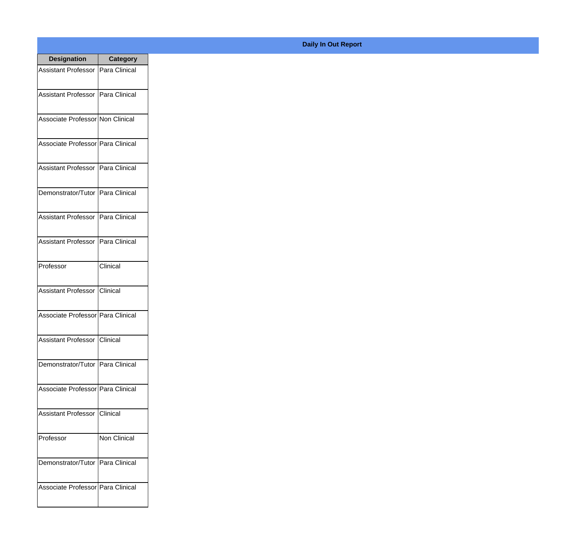| <b>Designation</b>                  | <b>Category</b> |
|-------------------------------------|-----------------|
| Assistant Professor   Para Clinical |                 |
| Assistant Professor   Para Clinical |                 |
| Associate Professor Non Clinical    |                 |
| Associate Professor Para Clinical   |                 |
| Assistant Professor   Para Clinical |                 |
| Demonstrator/Tutor   Para Clinical  |                 |
| Assistant Professor   Para Clinical |                 |
| Assistant Professor   Para Clinical |                 |
| Professor                           | Clinical        |
| Assistant Professor   Clinical      |                 |
| Associate Professor Para Clinical   |                 |
| Assistant Professor   Clinical      |                 |
| Demonstrator/Tutor   Para Clinical  |                 |
| Associate Professor Para Clinical   |                 |
| Assistant Professor   Clinical      |                 |
| Professor                           | Non Clinical    |
| Demonstrator/Tutor   Para Clinical  |                 |
| Associate Professor Para Clinical   |                 |

## **Daily In Out Report**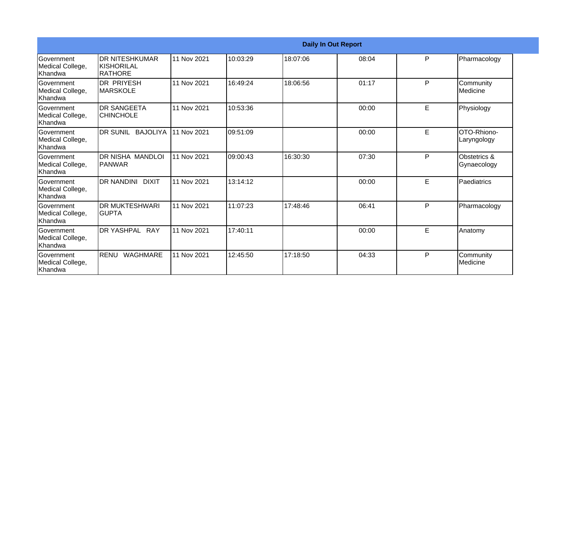|                                                  | <b>Daily In Out Report</b>                       |             |          |          |       |   |                                |  |
|--------------------------------------------------|--------------------------------------------------|-------------|----------|----------|-------|---|--------------------------------|--|
| Government<br>Medical College,<br>Khandwa        | IDR NITESHKUMAR<br><b>KISHORILAL</b><br>IRATHORE | 11 Nov 2021 | 10:03:29 | 18:07:06 | 08:04 | P | Pharmacology                   |  |
| Government<br>Medical College,<br>Khandwa        | <b>DR PRIYESH</b><br>IMARSKOLE                   | 11 Nov 2021 | 16:49:24 | 18:06:56 | 01:17 | P | Community<br><b>I</b> Medicine |  |
| <b>Government</b><br>Medical College,<br>Khandwa | <b>DR SANGEETA</b><br><b>CHINCHOLE</b>           | 11 Nov 2021 | 10:53:36 |          | 00:00 | E | Physiology                     |  |
| Government<br>Medical College,<br>Khandwa        | DR SUNIL BAJOLIYA                                | 11 Nov 2021 | 09:51:09 |          | 00:00 | E | OTO-Rhiono-<br>Laryngology     |  |
| Government<br>Medical College,<br>Khandwa        | DR NISHA MANDLOI<br> PANWAR                      | 11 Nov 2021 | 09:00:43 | 16:30:30 | 07:30 | P | Obstetrics &<br>Gynaecology    |  |
| <b>Government</b><br>Medical College,<br>Khandwa | IDR NANDINI DIXIT                                | 11 Nov 2021 | 13:14:12 |          | 00:00 | E | Paediatrics                    |  |
| <b>Government</b><br>Medical College,<br>Khandwa | <b>DR MUKTESHWARI</b><br><b>IGUPTA</b>           | 11 Nov 2021 | 11:07:23 | 17:48:46 | 06:41 | P | Pharmacology                   |  |
| Government<br>Medical College,<br>Khandwa        | DR YASHPAL RAY                                   | 11 Nov 2021 | 17:40:11 |          | 00:00 | E | Anatomy                        |  |
| Government<br>Medical College,<br>Khandwa        | RENU<br><b>WAGHMARE</b>                          | 11 Nov 2021 | 12:45:50 | 17:18:50 | 04:33 | P | Community<br>Medicine          |  |